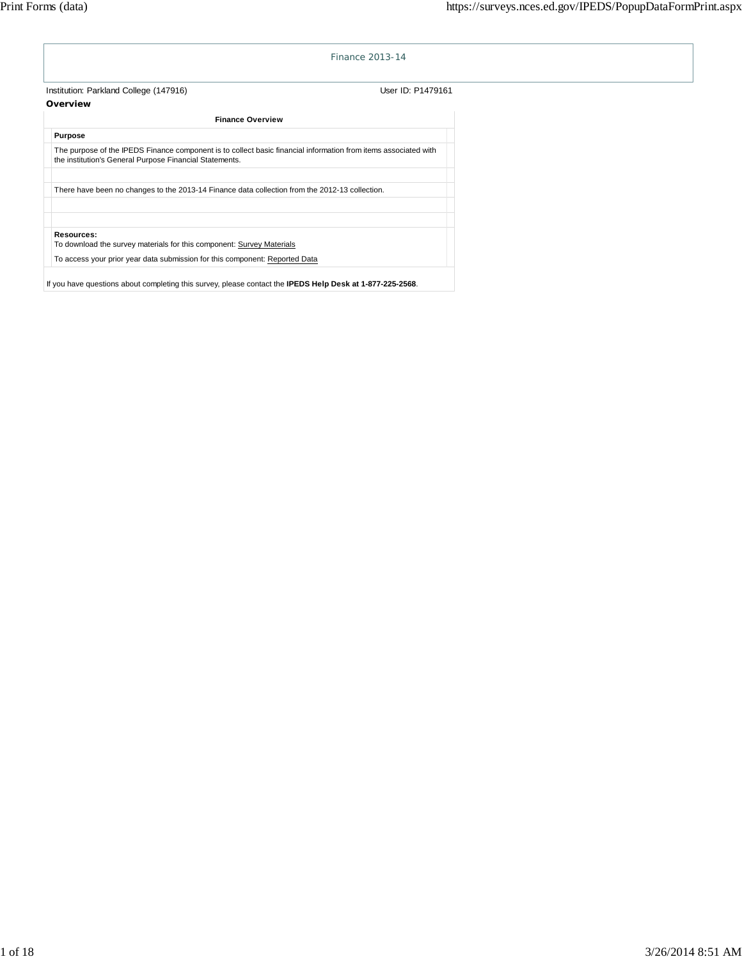|                                                                                                                                                                            | Finance 2013-14                                                             |
|----------------------------------------------------------------------------------------------------------------------------------------------------------------------------|-----------------------------------------------------------------------------|
| Institution: Parkland College (147916)                                                                                                                                     | User ID: P1479161                                                           |
| Overview                                                                                                                                                                   |                                                                             |
| <b>Finance Overview</b>                                                                                                                                                    |                                                                             |
| <b>Purpose</b>                                                                                                                                                             |                                                                             |
| The purpose of the IPEDS Finance component is to collect basic financial information from items associated with<br>the institution's General Purpose Financial Statements. |                                                                             |
| There have been no changes to the 2013-14 Finance data collection from the 2012-13 collection.                                                                             |                                                                             |
| Resources:<br>To download the survey materials for this component: Survey Materials                                                                                        |                                                                             |
|                                                                                                                                                                            | To access your prior year data submission for this component: Reported Data |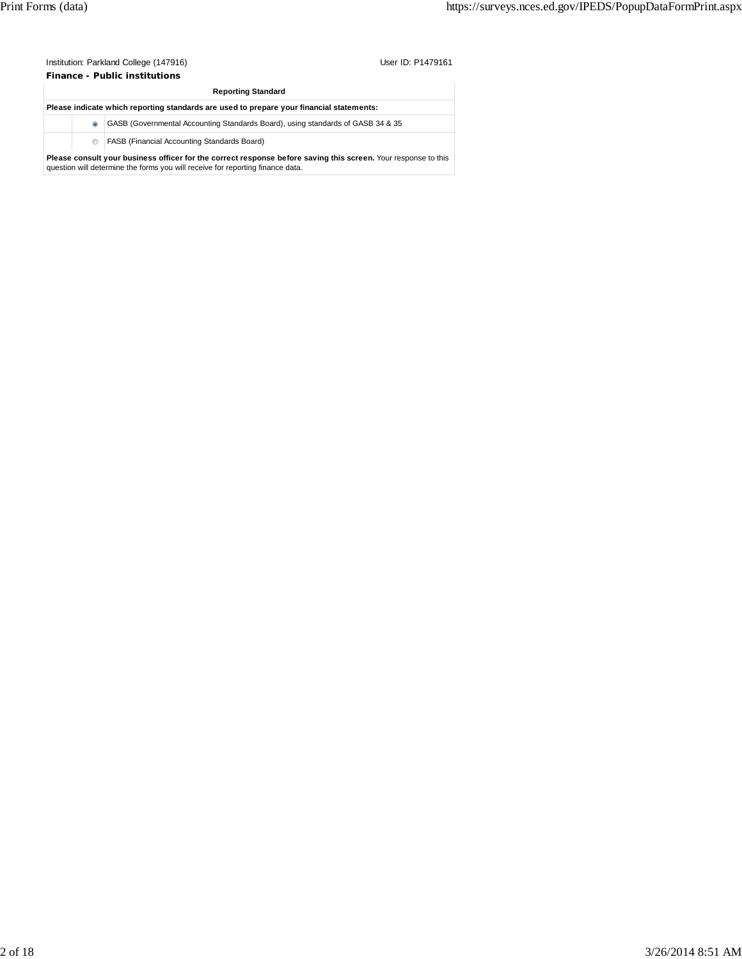| Institution: Parkland College (147916) | User ID: P1479161 |
|----------------------------------------|-------------------|
| <b>Finance - Public institutions</b>   |                   |

|           | <b>Reporting Standard</b>                                                                                                                                                                        |
|-----------|--------------------------------------------------------------------------------------------------------------------------------------------------------------------------------------------------|
|           | Please indicate which reporting standards are used to prepare your financial statements:                                                                                                         |
| $\bullet$ | GASB (Governmental Accounting Standards Board), using standards of GASB 34 & 35                                                                                                                  |
| ⊙.        | <b>FASB (Financial Accounting Standards Board)</b>                                                                                                                                               |
|           | Please consult your business officer for the correct response before saving this screen. Your response to this<br>question will determine the forms you will receive for reporting finance data. |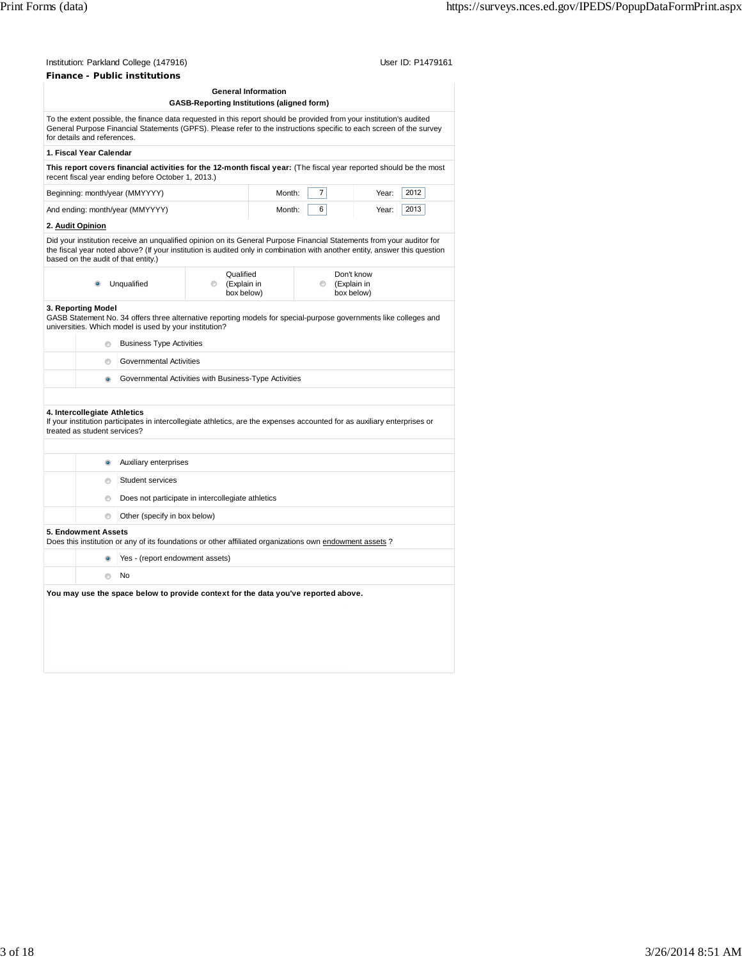|                                                              |                                                                                                                                                                                                                                                                                                    | <b>General Information</b> |   |                                         |      |
|--------------------------------------------------------------|----------------------------------------------------------------------------------------------------------------------------------------------------------------------------------------------------------------------------------------------------------------------------------------------------|----------------------------|---|-----------------------------------------|------|
|                                                              | <b>GASB-Reporting Institutions (aligned form)</b>                                                                                                                                                                                                                                                  |                            |   |                                         |      |
| for details and references.                                  | To the extent possible, the finance data requested in this report should be provided from your institution's audited<br>General Purpose Financial Statements (GPFS). Please refer to the instructions specific to each screen of the survey                                                        |                            |   |                                         |      |
| 1. Fiscal Year Calendar                                      |                                                                                                                                                                                                                                                                                                    |                            |   |                                         |      |
|                                                              | This report covers financial activities for the 12-month fiscal year: (The fiscal year reported should be the most<br>recent fiscal year ending before October 1, 2013.)                                                                                                                           |                            |   |                                         |      |
|                                                              | Beginning: month/year (MMYYYY)                                                                                                                                                                                                                                                                     | Month:                     | 7 | Year:                                   | 2012 |
|                                                              | And ending: month/year (MMYYYY)                                                                                                                                                                                                                                                                    | Month:                     | 6 | Year:                                   | 2013 |
| 2. <u>Audit Opinion</u>                                      |                                                                                                                                                                                                                                                                                                    |                            |   |                                         |      |
| based on the audit of that entity.)                          | Did your institution receive an unqualified opinion on its General Purpose Financial Statements from your auditor for<br>the fiscal year noted above? (If your institution is audited only in combination with another entity, answer this question                                                |                            |   |                                         |      |
|                                                              | Qualified<br>(Explain in<br>Unqualified<br>$\circ$<br>box below)                                                                                                                                                                                                                                   |                            | ⊙ | Don't know<br>(Explain in<br>box below) |      |
| $\circ$<br>⊙<br>$\bullet$                                    | GASB Statement No. 34 offers three alternative reporting models for special-purpose governments like colleges and<br>universities. Which model is used by your institution?<br><b>Business Type Activities</b><br>Governmental Activities<br>Governmental Activities with Business-Type Activities |                            |   |                                         |      |
| 4. Intercollegiate Athletics<br>treated as student services? | If your institution participates in intercollegiate athletics, are the expenses accounted for as auxiliary enterprises or                                                                                                                                                                          |                            |   |                                         |      |
| $\bullet$                                                    | Auxiliary enterprises                                                                                                                                                                                                                                                                              |                            |   |                                         |      |
| $\circ$                                                      | Student services                                                                                                                                                                                                                                                                                   |                            |   |                                         |      |
|                                                              |                                                                                                                                                                                                                                                                                                    |                            |   |                                         |      |
| ⊜                                                            | Does not participate in intercollegiate athletics                                                                                                                                                                                                                                                  |                            |   |                                         |      |
| $\circ$<br>5. Endowment Assets                               | Other (specify in box below)                                                                                                                                                                                                                                                                       |                            |   |                                         |      |
|                                                              | Does this institution or any of its foundations or other affiliated organizations own endowment assets?<br>Yes - (report endowment assets)                                                                                                                                                         |                            |   |                                         |      |
| $\circ$                                                      | No                                                                                                                                                                                                                                                                                                 |                            |   |                                         |      |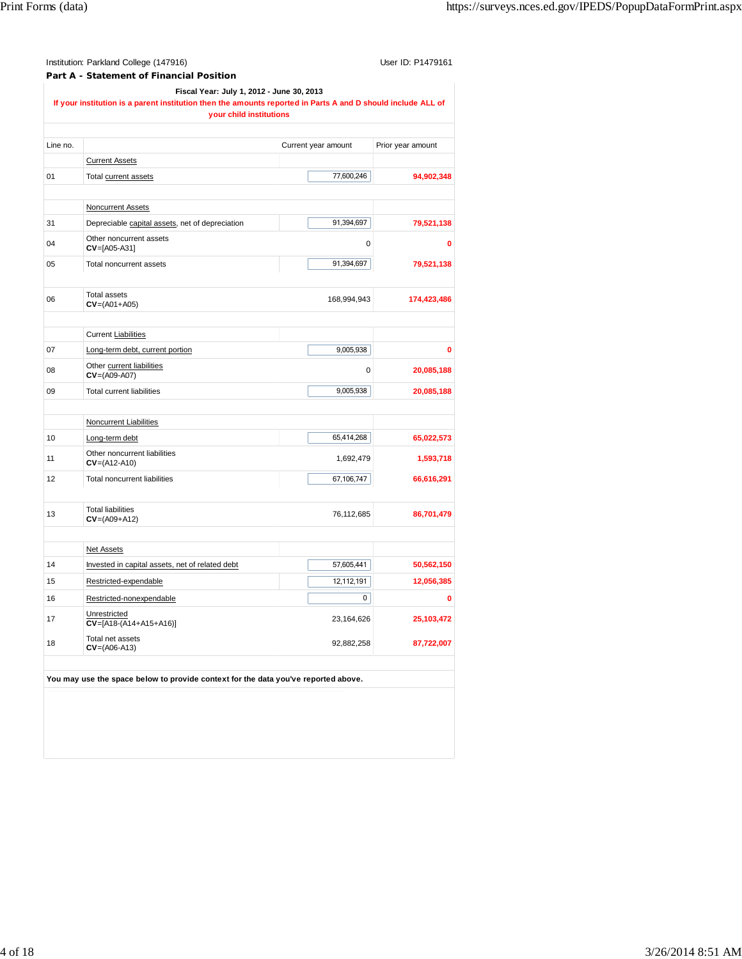| Institution: Parkland College (147916)                                                                                                                    | User ID: P1479161                                                                  |                     |                   |  |  |  |  |  |
|-----------------------------------------------------------------------------------------------------------------------------------------------------------|------------------------------------------------------------------------------------|---------------------|-------------------|--|--|--|--|--|
|                                                                                                                                                           | Part A - Statement of Financial Position                                           |                     |                   |  |  |  |  |  |
| Fiscal Year: July 1, 2012 - June 30, 2013<br>If your institution is a parent institution then the amounts reported in Parts A and D should include ALL of |                                                                                    |                     |                   |  |  |  |  |  |
|                                                                                                                                                           | your child institutions                                                            |                     |                   |  |  |  |  |  |
|                                                                                                                                                           |                                                                                    |                     |                   |  |  |  |  |  |
| Line no.                                                                                                                                                  |                                                                                    | Current year amount | Prior year amount |  |  |  |  |  |
|                                                                                                                                                           | <b>Current Assets</b>                                                              |                     |                   |  |  |  |  |  |
| 01                                                                                                                                                        | Total current assets                                                               | 77,600,246          | 94,902,348        |  |  |  |  |  |
|                                                                                                                                                           |                                                                                    |                     |                   |  |  |  |  |  |
|                                                                                                                                                           | <b>Noncurrent Assets</b>                                                           |                     |                   |  |  |  |  |  |
| 31                                                                                                                                                        | Depreciable capital assets, net of depreciation                                    | 91,394,697          | 79,521,138        |  |  |  |  |  |
| 04                                                                                                                                                        | Other noncurrent assets<br>$CV=[A05-A31]$                                          | 0                   | 0                 |  |  |  |  |  |
| 05                                                                                                                                                        | Total noncurrent assets                                                            | 91,394,697          | 79,521,138        |  |  |  |  |  |
|                                                                                                                                                           |                                                                                    |                     |                   |  |  |  |  |  |
| 06                                                                                                                                                        | <b>Total assets</b><br>$CV = (AO1 + AO5)$                                          | 168,994,943         | 174,423,486       |  |  |  |  |  |
|                                                                                                                                                           |                                                                                    |                     |                   |  |  |  |  |  |
|                                                                                                                                                           | <b>Current Liabilities</b>                                                         |                     |                   |  |  |  |  |  |
| 07                                                                                                                                                        | Long-term debt, current portion                                                    | 9,005,938           | O                 |  |  |  |  |  |
| 08                                                                                                                                                        | Other current liabilities<br>$CV=(AO9-AO7)$                                        | 0                   | 20,085,188        |  |  |  |  |  |
| 09                                                                                                                                                        | <b>Total current liabilities</b>                                                   | 9,005,938           | 20,085,188        |  |  |  |  |  |
|                                                                                                                                                           |                                                                                    |                     |                   |  |  |  |  |  |
|                                                                                                                                                           | Noncurrent Liabilities                                                             |                     |                   |  |  |  |  |  |
| 10                                                                                                                                                        | Long-term debt                                                                     | 65,414,268          | 65,022,573        |  |  |  |  |  |
| 11                                                                                                                                                        | Other noncurrent liabilities<br>$CV=(A12-A10)$                                     | 1,692,479           | 1,593,718         |  |  |  |  |  |
| 12                                                                                                                                                        | 67,106,747<br>Total noncurrent liabilities                                         |                     | 66,616,291        |  |  |  |  |  |
|                                                                                                                                                           |                                                                                    |                     |                   |  |  |  |  |  |
| 13                                                                                                                                                        | <b>Total liabilities</b><br>$CV=(A09+A12)$                                         | 76,112,685          | 86,701,479        |  |  |  |  |  |
|                                                                                                                                                           |                                                                                    |                     |                   |  |  |  |  |  |
|                                                                                                                                                           | <b>Net Assets</b>                                                                  |                     |                   |  |  |  |  |  |
| 14                                                                                                                                                        | Invested in capital assets, net of related debt                                    | 57,605,441          | 50,562,150        |  |  |  |  |  |
| 15                                                                                                                                                        | Restricted-expendable                                                              | 12,112,191          | 12,056,385        |  |  |  |  |  |
| 16                                                                                                                                                        | Restricted-nonexpendable                                                           | 0                   | 0                 |  |  |  |  |  |
| 17                                                                                                                                                        | Unrestricted<br>$CV=[A18-(A14+A15+A16)]$                                           | 23,164,626          | 25,103,472        |  |  |  |  |  |
| 18                                                                                                                                                        | Total net assets<br>$CV=(AO6-A13)$                                                 | 92,882,258          | 87,722,007        |  |  |  |  |  |
|                                                                                                                                                           |                                                                                    |                     |                   |  |  |  |  |  |
|                                                                                                                                                           | You may use the space below to provide context for the data you've reported above. |                     |                   |  |  |  |  |  |
|                                                                                                                                                           |                                                                                    |                     |                   |  |  |  |  |  |
|                                                                                                                                                           |                                                                                    |                     |                   |  |  |  |  |  |
|                                                                                                                                                           |                                                                                    |                     |                   |  |  |  |  |  |
|                                                                                                                                                           |                                                                                    |                     |                   |  |  |  |  |  |
|                                                                                                                                                           |                                                                                    |                     |                   |  |  |  |  |  |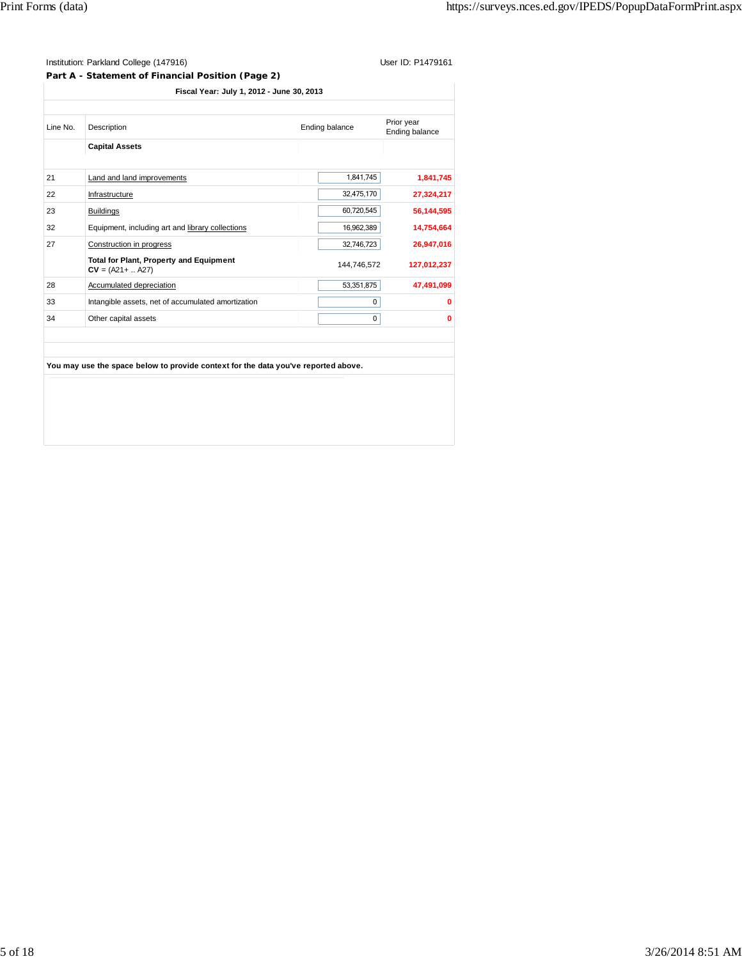**Part A - Statement of Financial Position (Page 2)**

| <b>Capital Assets</b><br>Land and land improvements<br>1,841,745<br>21<br>32,475,170<br>22<br>Infrastructure<br>60,720,545<br>23<br><b>Buildings</b><br>16,962,389<br>Equipment, including art and library collections<br>32<br>Construction in progress<br>27<br>32,746,723<br><b>Total for Plant, Property and Equipment</b><br>144,746,572<br>$CV = (A21 +  A27)$<br>53,351,875<br>28<br>Accumulated depreciation<br>0<br>33<br>Intangible assets, net of accumulated amortization | Line No. | Description                                                                        | Ending balance | Prior year<br>Ending balance |
|---------------------------------------------------------------------------------------------------------------------------------------------------------------------------------------------------------------------------------------------------------------------------------------------------------------------------------------------------------------------------------------------------------------------------------------------------------------------------------------|----------|------------------------------------------------------------------------------------|----------------|------------------------------|
|                                                                                                                                                                                                                                                                                                                                                                                                                                                                                       |          |                                                                                    |                |                              |
|                                                                                                                                                                                                                                                                                                                                                                                                                                                                                       |          |                                                                                    |                |                              |
|                                                                                                                                                                                                                                                                                                                                                                                                                                                                                       |          |                                                                                    |                | 1,841,745                    |
|                                                                                                                                                                                                                                                                                                                                                                                                                                                                                       |          |                                                                                    |                | 27,324,217                   |
|                                                                                                                                                                                                                                                                                                                                                                                                                                                                                       |          |                                                                                    |                | 56,144,595                   |
|                                                                                                                                                                                                                                                                                                                                                                                                                                                                                       |          |                                                                                    |                | 14,754,664                   |
|                                                                                                                                                                                                                                                                                                                                                                                                                                                                                       |          |                                                                                    |                | 26,947,016                   |
|                                                                                                                                                                                                                                                                                                                                                                                                                                                                                       |          |                                                                                    |                | 127,012,237                  |
|                                                                                                                                                                                                                                                                                                                                                                                                                                                                                       |          |                                                                                    |                | 47,491,099                   |
|                                                                                                                                                                                                                                                                                                                                                                                                                                                                                       |          |                                                                                    |                | 0                            |
|                                                                                                                                                                                                                                                                                                                                                                                                                                                                                       | 34       | Other capital assets                                                               | $\mathbf 0$    | 0                            |
|                                                                                                                                                                                                                                                                                                                                                                                                                                                                                       |          |                                                                                    |                |                              |
|                                                                                                                                                                                                                                                                                                                                                                                                                                                                                       |          | You may use the space below to provide context for the data you've reported above. |                |                              |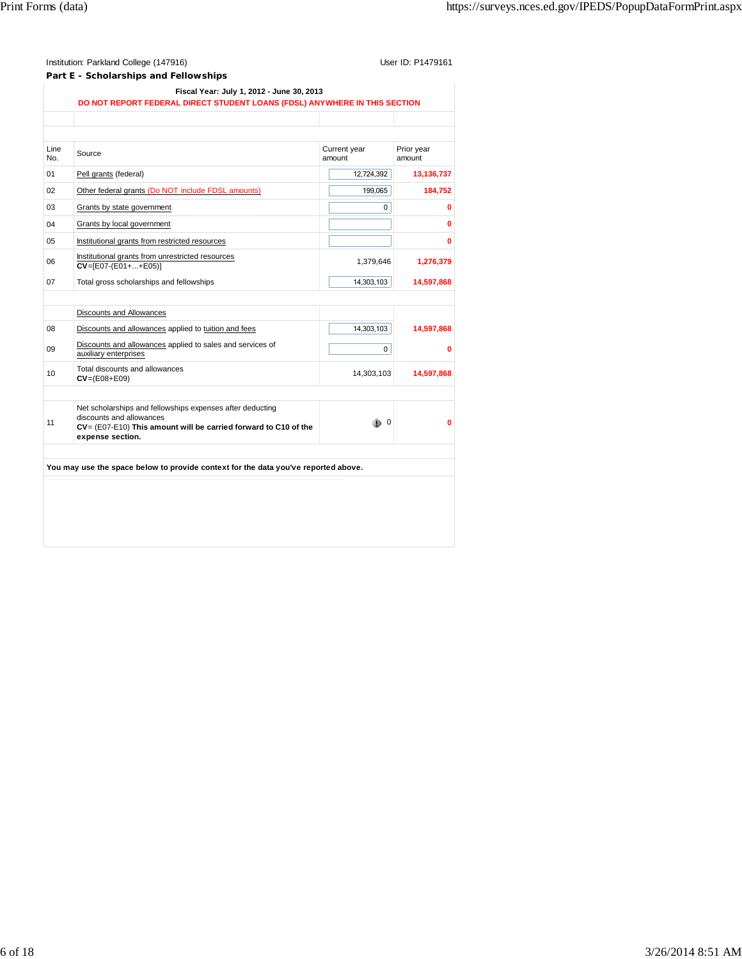| Institution: Parkland College (147916)<br>Part E - Scholarships and Fellowships                                         | User ID: P1479161 |
|-------------------------------------------------------------------------------------------------------------------------|-------------------|
| Fiscal Year: July 1, 2012 - June 30, 2013<br>DO NOT REPORT FEDERAL DIRECT STUDENT LOANS (FDSL) ANYWHERE IN THIS SECTION |                   |
|                                                                                                                         |                   |

| Line<br>No. | Source                                                                                                                                                                       | Current year<br>amount | Prior year<br>amount |
|-------------|------------------------------------------------------------------------------------------------------------------------------------------------------------------------------|------------------------|----------------------|
| 01          | Pell grants (federal)                                                                                                                                                        | 12,724,392             | 13,136,737           |
| 02          | Other federal grants (Do NOT include FDSL amounts)                                                                                                                           | 199.065                | 184,752              |
| 03          | Grants by state government                                                                                                                                                   | $\Omega$               | O                    |
| 04          | Grants by local government                                                                                                                                                   |                        | Ō                    |
| 05          | Institutional grants from restricted resources                                                                                                                               |                        | Ō                    |
| 06          | Institutional grants from unrestricted resources<br>$CV=[E07-(E01++E05)]$                                                                                                    | 1,379,646              | 1,276,379            |
| 07          | Total gross scholarships and fellowships                                                                                                                                     | 14,303,103             | 14,597,868           |
|             |                                                                                                                                                                              |                        |                      |
|             | <b>Discounts and Allowances</b>                                                                                                                                              |                        |                      |
| 08          | Discounts and allowances applied to tuition and fees                                                                                                                         | 14,303,103             | 14,597,868           |
| 09          | Discounts and allowances applied to sales and services of<br>auxiliary enterprises                                                                                           | 0                      | O                    |
| 10          | Total discounts and allowances<br>$CV = (E08 + E09)$                                                                                                                         | 14,303,103             | 14,597,868           |
|             |                                                                                                                                                                              |                        |                      |
| 11          | Net scholarships and fellowships expenses after deducting<br>discounts and allowances<br>CV= (E07-E10) This amount will be carried forward to C10 of the<br>expense section. | $\mathbf 0$            | 0                    |

**You may use the space below to provide context for the data you've reported above.**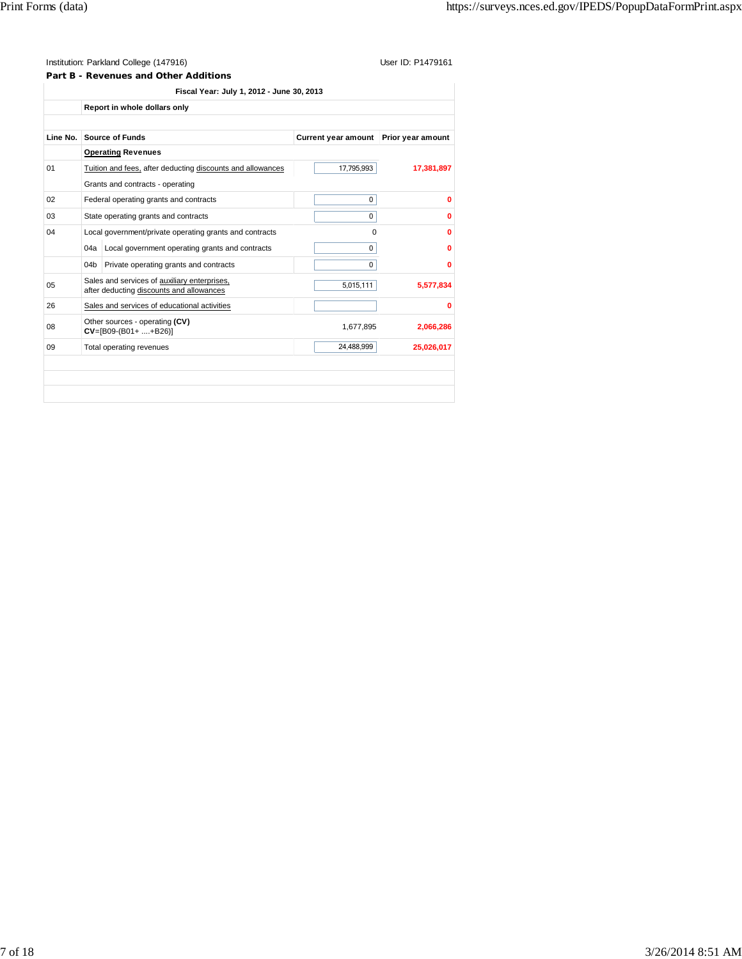**Part B - Revenues and Other Additions**

|          |                                                         | Report in whole dollars only                                                             |                            |                   |
|----------|---------------------------------------------------------|------------------------------------------------------------------------------------------|----------------------------|-------------------|
| Line No. |                                                         | <b>Source of Funds</b>                                                                   | <b>Current year amount</b> | Prior year amount |
|          |                                                         | <b>Operating Revenues</b>                                                                |                            |                   |
| 01       |                                                         | Tuition and fees, after deducting discounts and allowances                               | 17,795,993                 | 17,381,897        |
|          |                                                         | Grants and contracts - operating                                                         |                            |                   |
| 02       |                                                         | Federal operating grants and contracts                                                   | 0                          | $\mathbf{0}$      |
| 03       |                                                         | State operating grants and contracts                                                     | $\Omega$                   | 0                 |
| 04       | Local government/private operating grants and contracts |                                                                                          | 0                          | 0                 |
|          |                                                         | 04a Local government operating grants and contracts                                      | $\Omega$                   | Ω                 |
|          | 04b                                                     | Private operating grants and contracts                                                   | $\mathbf 0$                | 0                 |
| 05       |                                                         | Sales and services of auxiliary enterprises,<br>after deducting discounts and allowances | 5,015,111                  | 5,577,834         |
| 26       |                                                         | Sales and services of educational activities                                             |                            | 0                 |
| 08       |                                                         | Other sources - operating (CV)<br>$CV=[B09-(B01++B26)]$                                  | 1,677,895                  | 2,066,286         |
| 09       |                                                         | Total operating revenues                                                                 | 24,488,999                 | 25,026,017        |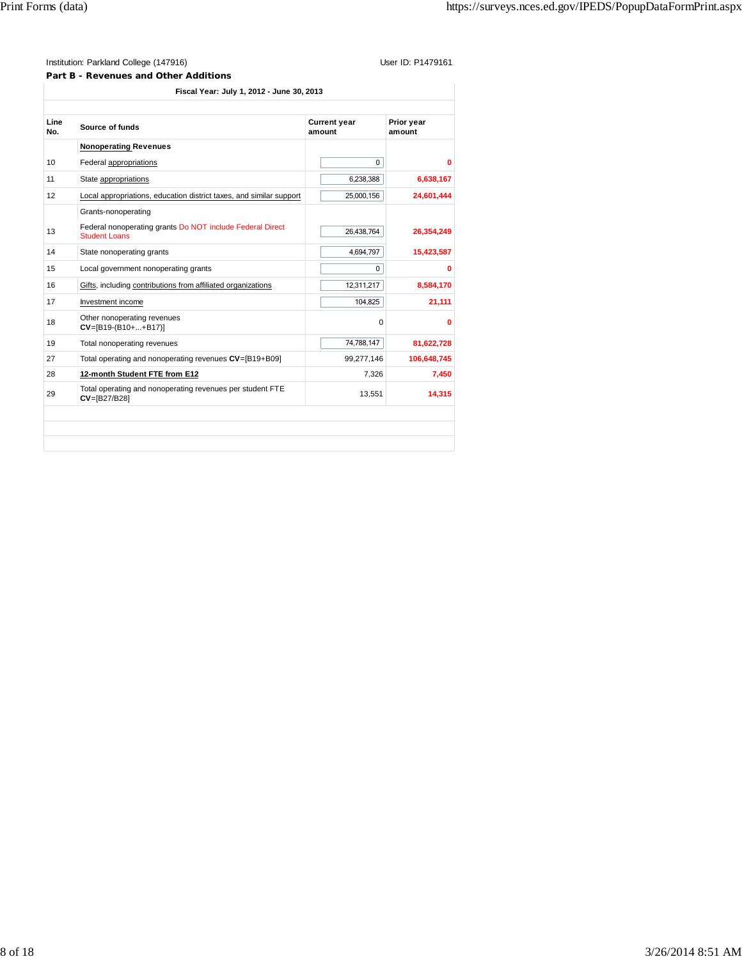**Part B - Revenues and Other Additions**

**Fiscal Year: July 1, 2012 - June 30, 2013**

| 10 <sup>1</sup> |                                                                                   |            | Prior year<br>amount |  |
|-----------------|-----------------------------------------------------------------------------------|------------|----------------------|--|
|                 | <b>Nonoperating Revenues</b>                                                      |            |                      |  |
|                 | Federal appropriations                                                            | 0          | 0                    |  |
| 11              | State appropriations                                                              | 6,238,388  | 6,638,167            |  |
| 12              | Local appropriations, education district taxes, and similar support               | 25,000,156 | 24,601,444           |  |
|                 | Grants-nonoperating                                                               |            |                      |  |
| 13              | Federal nonoperating grants Do NOT include Federal Direct<br><b>Student Loans</b> | 26,438,764 | 26,354,249           |  |
| 14              | State nonoperating grants                                                         | 4,694,797  | 15,423,587           |  |
| 15              | Local government nonoperating grants                                              | 0          | o                    |  |
| 16              | Gifts, including contributions from affiliated organizations                      | 12,311,217 | 8,584,170            |  |
| 17              | Investment income                                                                 | 104,825    | 21,111               |  |
| 18              | Other nonoperating revenues<br>$CV=[B19-(B10++B17)]$                              | $\Omega$   | 0                    |  |
| 19              | Total nonoperating revenues                                                       | 74,788,147 | 81,622,728           |  |
| 27              | Total operating and nonoperating revenues CV=[B19+B09]                            | 99,277,146 | 106,648,745          |  |
| 28              | 12-month Student FTE from E12                                                     | 7,326      | 7,450                |  |
| 29              | Total operating and nonoperating revenues per student FTE<br>$CV = [B27/B28]$     | 13,551     | 14.315               |  |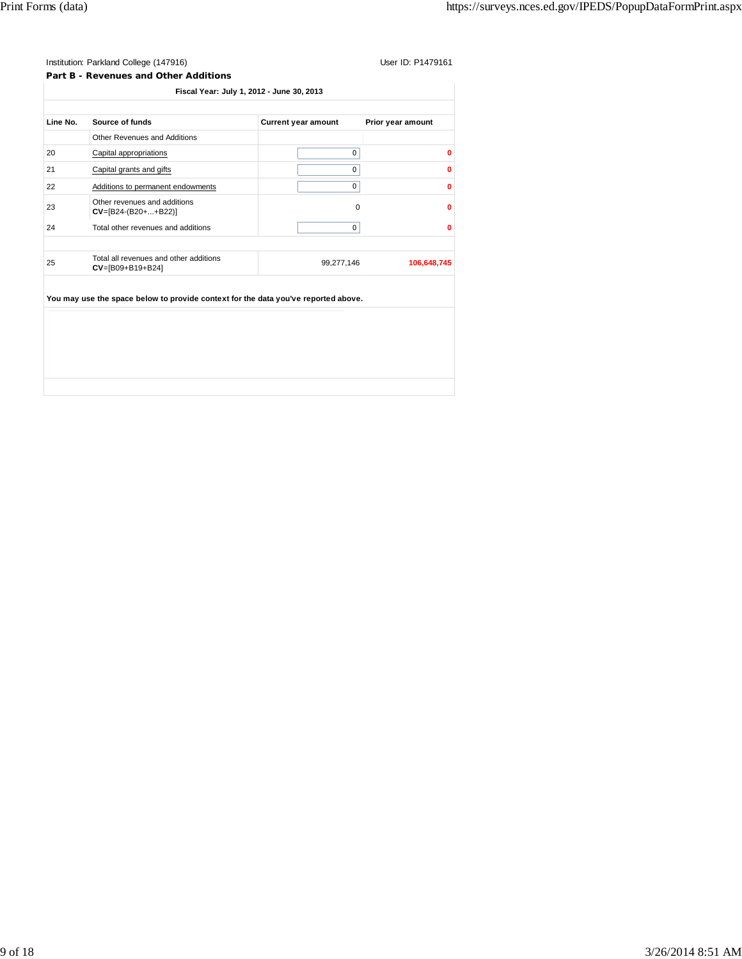# Institution: Parkland College (147916) Contract College (147916)

**Part B - Revenues and Other Additions Fiscal Year: July 1, 2012 - June 30, 2013** Line No. Source of funds **Current year amount** Prior year amount Other Revenues and Additions 20 Capital appropriations 0 **0** 21 Capital grants and gifts 0 **0** 22 Additions to permanent endowments 0 **0** <sup>23</sup> Other revenues and additions **CV**=[B24-(B20+...+B22)] 0**<sup>0</sup>** 24 Total other revenues and additions 0 **0** <sup>25</sup> Total all revenues and other additions **CV**=[B09+B19+B24] 99,277,146 **106,648,745 You may use the space below to provide context for the data you've reported above.**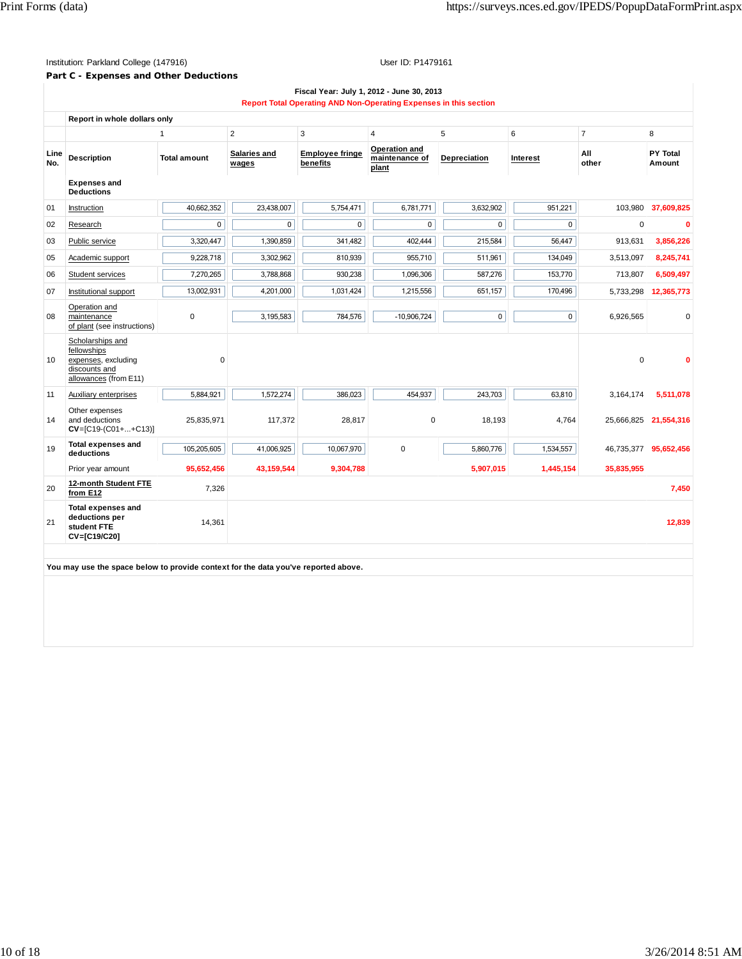### Institution: Parkland College (147916) Contact College (147916)

# **Part C - Expenses and Other Deductions**

|             |                                                                                                  |                     |                       |                                    | Report Total Operating AND Non-Operating Expenses in this section |              |           |                |                           |
|-------------|--------------------------------------------------------------------------------------------------|---------------------|-----------------------|------------------------------------|-------------------------------------------------------------------|--------------|-----------|----------------|---------------------------|
|             | Report in whole dollars only                                                                     |                     |                       |                                    |                                                                   |              |           |                |                           |
|             |                                                                                                  | 1                   | $\overline{2}$        | 3                                  | $\overline{4}$                                                    | 5            | 6         | $\overline{7}$ | 8                         |
| Line<br>No. | <b>Description</b>                                                                               | <b>Total amount</b> | Salaries and<br>wages | <b>Employee fringe</b><br>benefits | Operation and<br>maintenance of<br>plant                          | Depreciation | Interest  | All<br>other   | <b>PY Total</b><br>Amount |
|             | <b>Expenses and</b><br><b>Deductions</b>                                                         |                     |                       |                                    |                                                                   |              |           |                |                           |
| 01          | Instruction                                                                                      | 40,662,352          | 23,438,007            | 5,754,471                          | 6,781,771                                                         | 3,632,902    | 951,221   | 103,980        | 37,609,825                |
| 02          | Research                                                                                         | $\mathsf 0$         | $\pmb{0}$             | 0                                  | $\mathbf 0$                                                       | 0            | 0         | $\mathbf 0$    |                           |
| 03          | Public service                                                                                   | 3,320,447           | 1,390,859             | 341,482                            | 402,444                                                           | 215,584      | 56,447    | 913,631        | 3,856,226                 |
| 05          | Academic support                                                                                 | 9,228,718           | 3,302,962             | 810,939                            | 955,710                                                           | 511,961      | 134,049   | 3,513,097      | 8,245,741                 |
| 06          | Student services                                                                                 | 7,270,265           | 3,788,868             | 930,238                            | 1,096,306                                                         | 587,276      | 153,770   | 713,807        | 6,509,497                 |
| 07          | Institutional support                                                                            | 13,002,931          | 4,201,000             | 1,031,424                          | 1,215,556                                                         | 651,157      | 170,496   | 5,733,298      | 12,365,773                |
| 08          | Operation and<br>maintenance<br>of plant (see instructions)                                      | $\mathbf 0$         | 3,195,583             | 784,576                            | $-10,906,724$                                                     | $\mathbf 0$  | 0         | 6,926,565      |                           |
| 10          | Scholarships and<br>fellowships<br>expenses, excluding<br>discounts and<br>allowances (from E11) | 0                   |                       |                                    |                                                                   |              |           | $\Omega$       |                           |
| 11          | Auxiliary enterprises                                                                            | 5,884,921           | 1,572,274             | 386,023                            | 454,937                                                           | 243,703      | 63,810    | 3,164,174      | 5,511,078                 |
| 14          | Other expenses<br>and deductions<br>$CV=[C19-(C01++C13)]$                                        | 25,835,971          | 117,372               | 28,817                             | 0                                                                 | 18,193       | 4,764     | 25,666,825     | 21,554,316                |
| 19          | <b>Total expenses and</b><br>deductions                                                          | 105,205,605         | 41,006,925            | 10,067,970                         | $\mathbf 0$                                                       | 5,860,776    | 1,534,557 | 46,735,377     | 95,652,456                |
|             | Prior year amount                                                                                | 95,652,456          | 43,159,544            | 9,304,788                          |                                                                   | 5,907,015    | 1,445,154 | 35,835,955     |                           |
| 20          | 12-month Student FTE<br>from E12                                                                 | 7,326               |                       |                                    |                                                                   |              |           |                | 7,450                     |
| 21          | <b>Total expenses and</b><br>deductions per<br>student FTE<br>CV=[C19/C20]                       | 14,361              |                       |                                    |                                                                   |              |           |                | 12,839                    |

**You may use the space below to provide context for the data you've reported above.**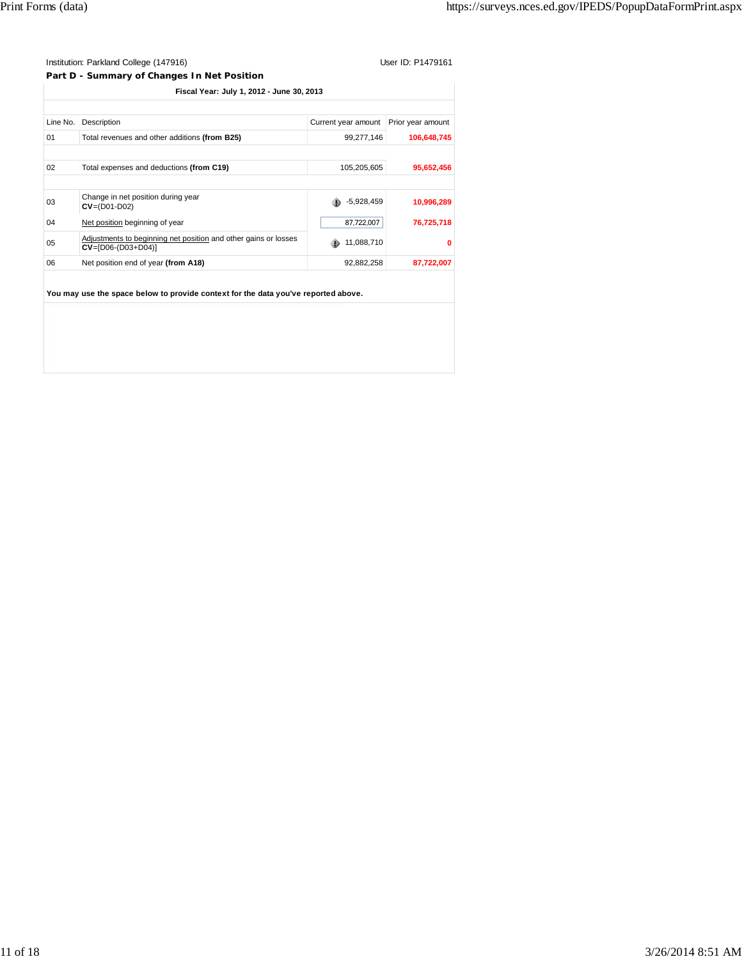### Institution: Parkland College (147916) User ID: P1479161 **Part D - Summary of Changes In Net Position**

|          | Fiscal Year: July 1, 2012 - June 30, 2013                                               |                                       |             |  |  |  |  |
|----------|-----------------------------------------------------------------------------------------|---------------------------------------|-------------|--|--|--|--|
|          |                                                                                         |                                       |             |  |  |  |  |
| Line No. | Description                                                                             | Current year amount Prior year amount |             |  |  |  |  |
| 01       | Total revenues and other additions (from B25)                                           | 99.277.146                            | 106.648.745 |  |  |  |  |
|          |                                                                                         |                                       |             |  |  |  |  |
| 02       | Total expenses and deductions (from C19)                                                | 105,205,605                           | 95,652,456  |  |  |  |  |
|          |                                                                                         |                                       |             |  |  |  |  |
| 03       | Change in net position during year<br>$CV = (D01-D02)$                                  | $-5,928,459$                          | 10,996,289  |  |  |  |  |
| 04       | Net position beginning of year                                                          | 87,722,007                            | 76,725,718  |  |  |  |  |
| 05       | Adjustments to beginning net position and other gains or losses<br>$CV=[D06-(D03+D04)]$ | 11,088,710                            |             |  |  |  |  |
| 06       | Net position end of year (from A18)                                                     | 92,882,258                            | 87,722,007  |  |  |  |  |
|          |                                                                                         |                                       |             |  |  |  |  |

**You may use the space below to provide context for the data you've reported above.**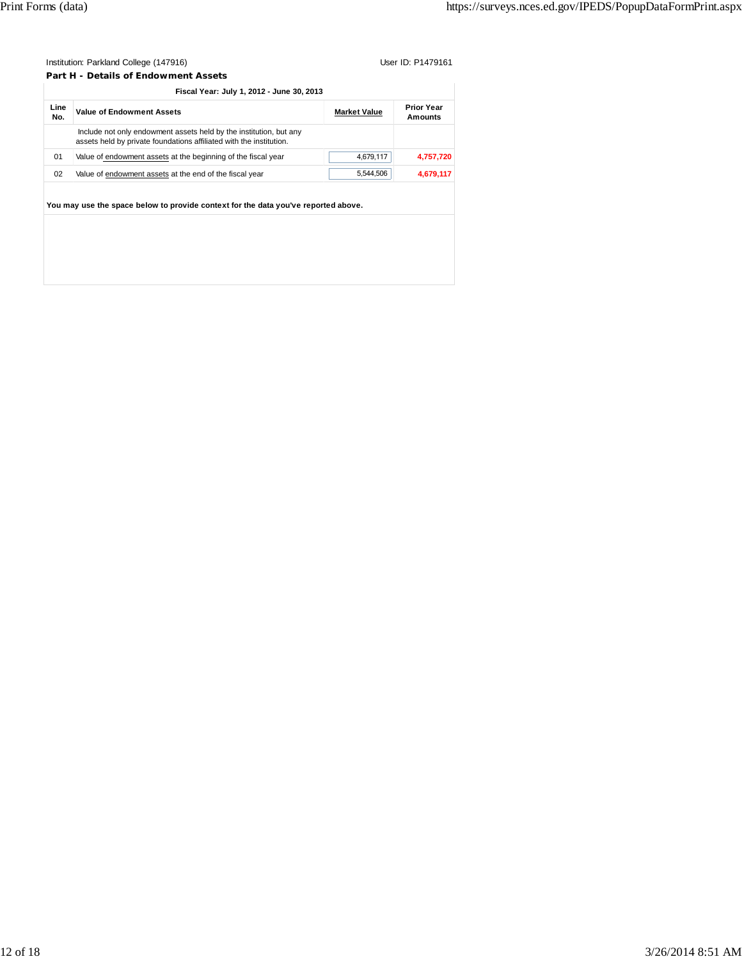| Institution: Parkland College (147916)            | User ID: P1479161 |
|---------------------------------------------------|-------------------|
| Part H - Details of Endowment Assets              |                   |
| $F(z, z)$ Version in the 4 $0.040$ three $0.0000$ |                   |

|             | Fiscal Year: July 1, 2012 - June 30, 2013                                                                                                 |                     |                                     |
|-------------|-------------------------------------------------------------------------------------------------------------------------------------------|---------------------|-------------------------------------|
| Line<br>No. | <b>Value of Endowment Assets</b>                                                                                                          | <b>Market Value</b> | <b>Prior Year</b><br><b>Amounts</b> |
|             | Include not only endowment assets held by the institution, but any<br>assets held by private foundations affiliated with the institution. |                     |                                     |
| 01          | Value of endowment assets at the beginning of the fiscal year                                                                             | 4,679,117           | 4,757,720                           |
| 02          | Value of endowment assets at the end of the fiscal year                                                                                   | 5,544,506           | 4,679,117                           |
|             |                                                                                                                                           |                     |                                     |
|             | You may use the space below to provide context for the data you've reported above.                                                        |                     |                                     |
|             |                                                                                                                                           |                     |                                     |
|             |                                                                                                                                           |                     |                                     |
|             |                                                                                                                                           |                     |                                     |
|             |                                                                                                                                           |                     |                                     |
|             |                                                                                                                                           |                     |                                     |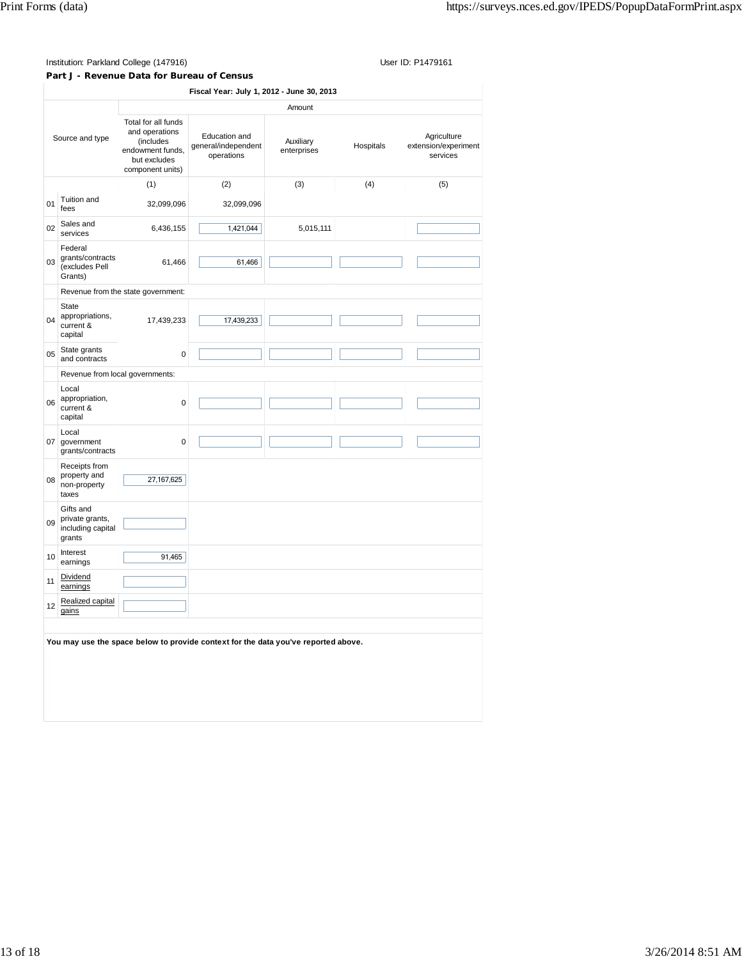**Part J - Revenue Data for Bureau of Census**

**Fiscal Year: July 1, 2012 - June 30, 2013** Source and type Amount Total for all funds and operations (includes endowment funds, but excludes component units) Education and general/independent operations Auxiliary Auxiliary<br>enterprises Hospitals Agriculture extension/experiment services (1)  $(2)$   $(3)$   $(4)$   $(5)$ <sup>01</sup> Tuition and fees 32,099,096 32,099,096 02 Sales and<br>services services 6,436,155 1,421,044 5,015,111 03 Federal grants/contracts (excludes Pell Grants) 61,466 61,466 Revenue from the state government: 04 State appropriations, current & capital 17,439,233 17,439,233 <sup>05</sup> State grants and contracts<sup>0</sup> Revenue from local governments: 06 Local appropriation, current & capital 0 07 Local government grants/contracts 0 08 Receipts from property and non-property taxes 27,167,625 09 Gifts and private grants, including capital grants 10 Interest Interest<br>earnings 91,465 11 Dividend earnings 12 Realized capital gains **You may use the space below to provide context for the data you've reported above.**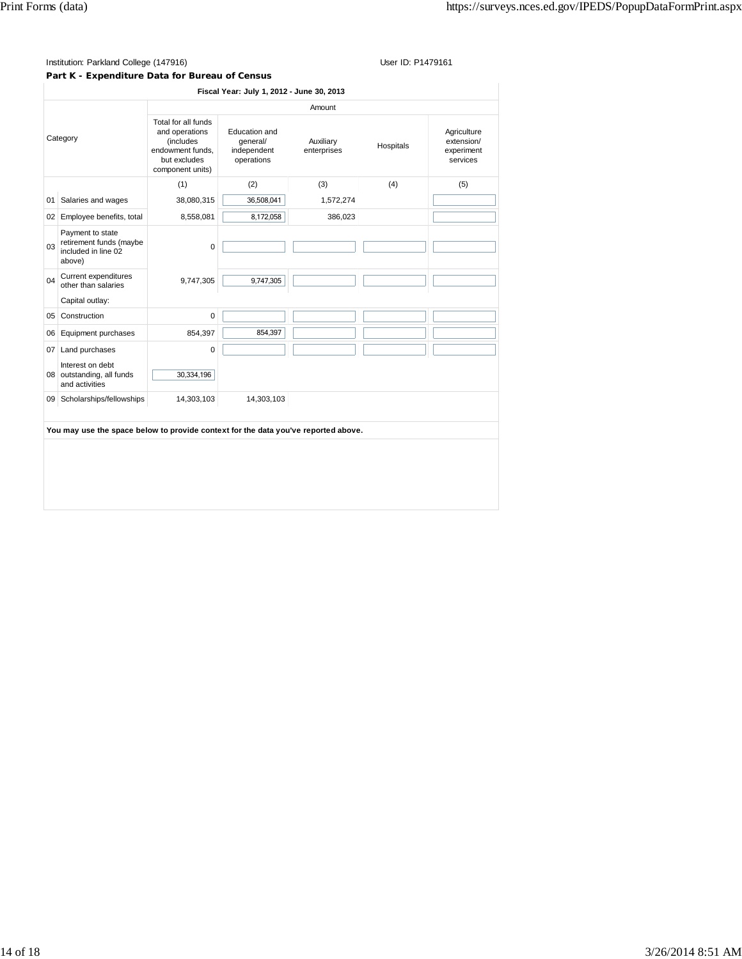#### **Part K - Expenditure Data for Bureau of Census**

 $\parallel$ 

| Amount<br>Total for all funds<br>Education and<br>and operations<br>Category<br>(includes<br>qeneral/<br>Auxiliary<br>Hospitals<br>endowment funds.<br>independent<br>enterprises<br>but excludes<br>operations<br>component units)<br>(1)<br>(2)<br>(3)<br>(4)<br>38,080,315<br>36,508,041<br>Salaries and wages<br>1,572,274<br>01<br>8,172,058<br>8,558,081<br>02 Employee benefits, total<br>386,023<br>Payment to state<br>retirement funds (maybe<br>0.3<br>0<br>included in line 02<br>above)<br>Current expenditures<br>04<br>9,747,305<br>9,747,305<br>other than salaries<br>Capital outlay:<br>Construction<br>0<br>05<br>Equipment purchases<br>854,397<br>854,397<br>06<br>$\mathbf 0$<br>07<br>Land purchases | Fiscal Year: July 1, 2012 - June 30, 2013           |  |  |  |  |
|-----------------------------------------------------------------------------------------------------------------------------------------------------------------------------------------------------------------------------------------------------------------------------------------------------------------------------------------------------------------------------------------------------------------------------------------------------------------------------------------------------------------------------------------------------------------------------------------------------------------------------------------------------------------------------------------------------------------------------|-----------------------------------------------------|--|--|--|--|
|                                                                                                                                                                                                                                                                                                                                                                                                                                                                                                                                                                                                                                                                                                                             |                                                     |  |  |  |  |
|                                                                                                                                                                                                                                                                                                                                                                                                                                                                                                                                                                                                                                                                                                                             | Agriculture<br>extension/<br>experiment<br>services |  |  |  |  |
|                                                                                                                                                                                                                                                                                                                                                                                                                                                                                                                                                                                                                                                                                                                             | (5)                                                 |  |  |  |  |
|                                                                                                                                                                                                                                                                                                                                                                                                                                                                                                                                                                                                                                                                                                                             |                                                     |  |  |  |  |
|                                                                                                                                                                                                                                                                                                                                                                                                                                                                                                                                                                                                                                                                                                                             |                                                     |  |  |  |  |
|                                                                                                                                                                                                                                                                                                                                                                                                                                                                                                                                                                                                                                                                                                                             |                                                     |  |  |  |  |
|                                                                                                                                                                                                                                                                                                                                                                                                                                                                                                                                                                                                                                                                                                                             |                                                     |  |  |  |  |
|                                                                                                                                                                                                                                                                                                                                                                                                                                                                                                                                                                                                                                                                                                                             |                                                     |  |  |  |  |
|                                                                                                                                                                                                                                                                                                                                                                                                                                                                                                                                                                                                                                                                                                                             |                                                     |  |  |  |  |
|                                                                                                                                                                                                                                                                                                                                                                                                                                                                                                                                                                                                                                                                                                                             |                                                     |  |  |  |  |
|                                                                                                                                                                                                                                                                                                                                                                                                                                                                                                                                                                                                                                                                                                                             |                                                     |  |  |  |  |
| Interest on debt<br>30,334,196<br>08 outstanding, all funds<br>and activities                                                                                                                                                                                                                                                                                                                                                                                                                                                                                                                                                                                                                                               |                                                     |  |  |  |  |
| Scholarships/fellowships<br>14,303,103<br>14,303,103<br>09                                                                                                                                                                                                                                                                                                                                                                                                                                                                                                                                                                                                                                                                  |                                                     |  |  |  |  |
|                                                                                                                                                                                                                                                                                                                                                                                                                                                                                                                                                                                                                                                                                                                             |                                                     |  |  |  |  |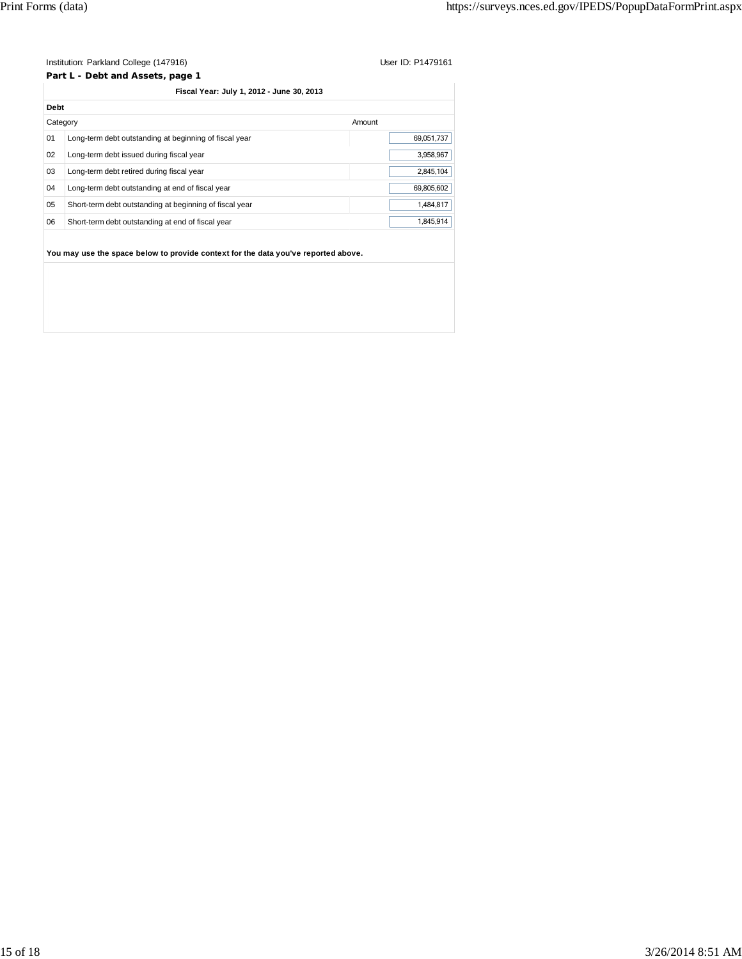**Part L - Debt and Assets, page 1**

|  | Fiscal Year: July 1, 2012 - June 30, 2013 |  |  |
|--|-------------------------------------------|--|--|
|  |                                           |  |  |

|    | Category                                                | Amount     |
|----|---------------------------------------------------------|------------|
| 01 | Long-term debt outstanding at beginning of fiscal year  | 69.051.737 |
| 02 | Long-term debt issued during fiscal year                | 3.958.967  |
| 03 | Long-term debt retired during fiscal year               | 2.845.104  |
| 04 | Long-term debt outstanding at end of fiscal year        | 69.805.602 |
| 05 | Short-term debt outstanding at beginning of fiscal year | 1,484,817  |
| 06 | Short-term debt outstanding at end of fiscal year       | 1.845.914  |
|    |                                                         |            |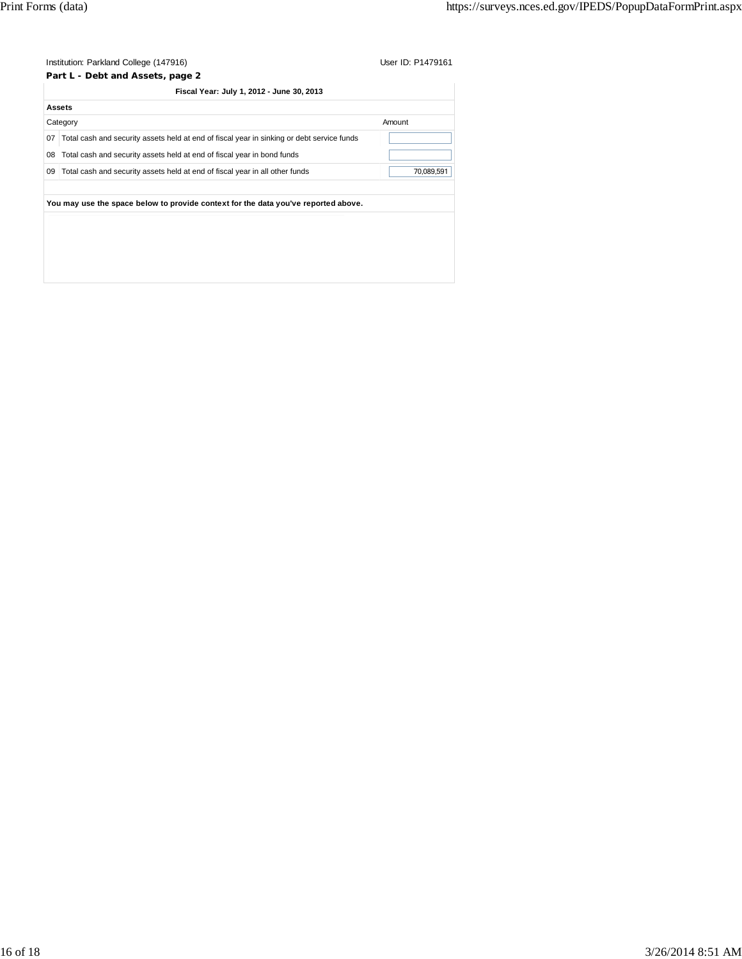|    | Institution: Parkland College (147916)                                                     | User ID: P1479161 |
|----|--------------------------------------------------------------------------------------------|-------------------|
|    | Part L - Debt and Assets, page 2                                                           |                   |
|    | Fiscal Year: July 1, 2012 - June 30, 2013                                                  |                   |
|    | <b>Assets</b>                                                                              |                   |
|    | Category                                                                                   | Amount            |
| 07 | Total cash and security assets held at end of fiscal year in sinking or debt service funds |                   |
| 08 | Total cash and security assets held at end of fiscal year in bond funds                    |                   |
| 09 | Total cash and security assets held at end of fiscal year in all other funds               | 70,089,591        |
|    |                                                                                            |                   |
|    | You may use the space below to provide context for the data you've reported above.         |                   |
|    |                                                                                            |                   |
|    |                                                                                            |                   |
|    |                                                                                            |                   |
|    |                                                                                            |                   |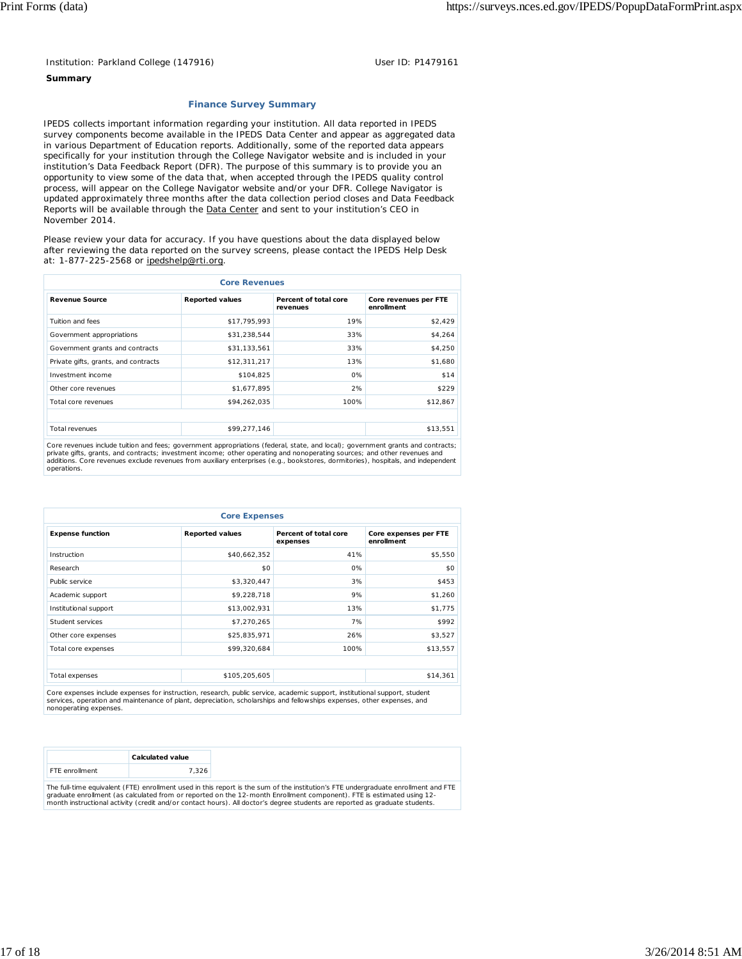#### **Summary**

#### **Finance Survey Summary**

IPEDS collects important information regarding your institution. All data reported in IPEDS survey components become available in the IPEDS Data Center and appear as aggregated data in various Department of Education reports. Additionally, some of the reported data appears specifically for your institution through the College Navigator website and is included in your institution's Data Feedback Report (DFR). The purpose of this summary is to provide you an opportunity to view some of the data that, when accepted through the IPEDS quality control process, will appear on the College Navigator website and/or your DFR. College Navigator is updated approximately three months after the data collection period closes and Data Feedback Reports will be available through the **Data Center** and sent to your institution's CEO in November 2014.

Please review your data for accuracy. If you have questions about the data displayed below after reviewing the data reported on the survey screens, please contact the IPEDS Help Desk at: 1-877-225-2568 or ipedshelp@rti.org.

| <b>Core Revenues</b>                 |                        |                                   |                                     |  |  |
|--------------------------------------|------------------------|-----------------------------------|-------------------------------------|--|--|
| <b>Revenue Source</b>                | <b>Reported values</b> | Percent of total core<br>revenues | Core revenues per FTE<br>enrollment |  |  |
| Tuition and fees                     | \$17,795,993           | 19%                               | \$2,429                             |  |  |
| Government appropriations            | \$31,238,544           | 33%                               | \$4,264                             |  |  |
| Government grants and contracts      | \$31,133,561           | 33%                               | \$4,250                             |  |  |
| Private gifts, grants, and contracts | \$12,311,217           | 13%                               | \$1,680                             |  |  |
| Investment income                    | \$104,825              | 0%                                | \$14                                |  |  |
| Other core revenues                  | \$1,677,895            | 2%                                | \$229                               |  |  |
| Total core revenues                  | \$94,262,035           | 100%                              | \$12,867                            |  |  |
|                                      |                        |                                   |                                     |  |  |
| Total revenues                       | \$99,277,146           |                                   | \$13,551                            |  |  |

Core revenues include tuition and fees; government appropriations (federal, state, and local); government grants and contracts;<br>private gifts, grants, and contracts; investment income; other operating and nonoperating sour operations.

| <b>Core Expenses</b>    |                        |                                   |                                     |  |  |
|-------------------------|------------------------|-----------------------------------|-------------------------------------|--|--|
| <b>Expense function</b> | <b>Reported values</b> | Percent of total core<br>expenses | Core expenses per FTE<br>enrollment |  |  |
| Instruction             | \$40,662,352           | 41%                               | \$5,550                             |  |  |
| Research                | \$0                    | 0%                                | \$0                                 |  |  |
| Public service          | \$3,320,447            | 3%                                | \$453                               |  |  |
| Academic support        | \$9,228,718            | 9%                                | \$1,260                             |  |  |
| Institutional support   | \$13,002,931           | 13%                               | \$1,775                             |  |  |
| Student services        | \$7,270,265            | 7%                                | \$992                               |  |  |
| Other core expenses     | \$25,835,971           | 26%                               | \$3,527                             |  |  |
| Total core expenses     | \$99,320,684           | 100%                              | \$13,557                            |  |  |
|                         |                        |                                   |                                     |  |  |
| Total expenses          | \$105,205,605          |                                   | \$14,361                            |  |  |

Core expenses include expenses for instruction, research, public service, academic support, institutional support, student services, operation and maintenance of plant, depreciation, scholarships and fellowships expenses, other expenses, and nonoperating expenses.

|                       | Calculated value                                                                                                                   |
|-----------------------|------------------------------------------------------------------------------------------------------------------------------------|
| <b>FTF</b> enrollment | '326                                                                                                                               |
|                       | The full time equivalent (ETE) enrollment used in this report is the sum of the institution's ETE undergraduate enrollment and ETE |

The full-time equivalent (FTE) enrollment used in this report is the sum of the institution's FTE undergraduate enrollment and FTE<br>graduate enrollment (as calculated from or reported on the 12-month Enrollment component).